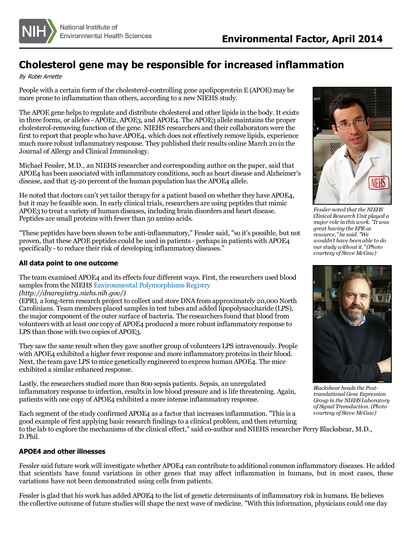

## **Cholesterol gene may be responsible for increased inflammation**

By Robin Arnette

People with a certain form of the cholesterol-controlling gene apolipoprotein E (APOE) may be more prone to inflammation than others, according to a new NIEHS study.

The APOE gene helps to regulate and distribute cholesterol and other lipids in the body. It exists in three forms, or alleles - APOE2, APOE3, and APOE4. The APOE3 allele maintains the proper cholesterol-removing function of the gene. NIEHS researchers and their collaborators were the first to report that people who have APOE4, which does not effectively remove lipids, experience much more robust inflammatory response. They published their results online March 20 in the Journal of Allergy and Clinical Immunology.

Michael Fessler, M.D., an NIEHS researcher and corresponding author on the paper, said that APOE4 has been associated with inflammatory conditions, such as heart disease and Alzheimer's disease, and that 15-20 percent of the human population has the APOE4 allele.

He noted that doctors can't yet tailor therapy for a patient based on whether they have APOE4, but it may be feasible soon. In early clinical trials, researchers are using peptides that mimic APOE3 to treat a variety of human diseases, including brain disorders and heart disease. Peptides are small proteins with fewer than 50 amino acids.

"These peptides have been shown to be anti-inflammatory," Fessler said, "so it's possible, but not proven, that these APOE peptides could be used in patients - perhaps in patients with APOE4 specifically - to reduce their risk of developing inflammatory diseases."

## **All data point to one outcome**

The team examined APOE4 and its effects four different ways. First, the researchers used blood samples from the NIEHS [Environmental Polymorphisms Registry](http://dnaregistry.niehs.nih.gov/) *(http://dnaregistry.niehs.nih.gov/)*

(EPR), a long-term research project to collect and store DNA from approximately 20,000 North Carolinians. Team members placed samples in test tubes and added lipopolysaccharide (LPS), the major component of the outer surface of bacteria. The researchers found that blood from volunteers with at least one copy of APOE4 produced a more robust inflammatory response to LPS than those with two copies of APOE3.

They saw the same result when they gave another group of volunteers LPS intravenously. People with APOE4 exhibited a higher fever response and more inflammatory proteins in their blood. Next, the team gave LPS to mice genetically engineered to express human APOE4. The mice exhibited a similar enhanced response.

Lastly, the researchers studied more than 800 sepsis patients. Sepsis, an unregulated inflammatory response to infection, results in low blood pressure and is life threatening. Again, patients with one copy of APOE4 exhibited a more intense inflammatory response.

Each segment of the study confirmed APOE4 as a factor that increases inflammation. "This is a good example of first applying basic research findings to a clinical problem, and then returning to the lab to explore the mechanisms of the clinical effect," said co-author and NIEHS researcher Perry Blackshear, M.D., D.Phil.

## **APOE4 and other illnesses**

Fessler said future work will investigate whether APOE4 can contribute to additional common inflammatory diseases. He added that scientists have found variations in other genes that may affect inflammation in humans, but in most cases, these variations have not been demonstrated using cells from patients.

Fessler is glad that his work has added APOE4 to the list of genetic determinants of inflammatory risk in humans. He believes the collective outcome of future studies will shape the next wave of medicine. "With this information, physicians could one day



*Fessler noted that the NIEHS Clinical Research Unit played a major role in this work. "It was great having the EPR as resource," he said. "We wouldn't have been able to do our study without it." (Photo courtesy of Steve McCaw)*



*Blackshear heads the Posttranslational Gene Expression Group in the NIEHS Laboratory of Signal Transduction. (Photo courtesy of Steve McCaw)*